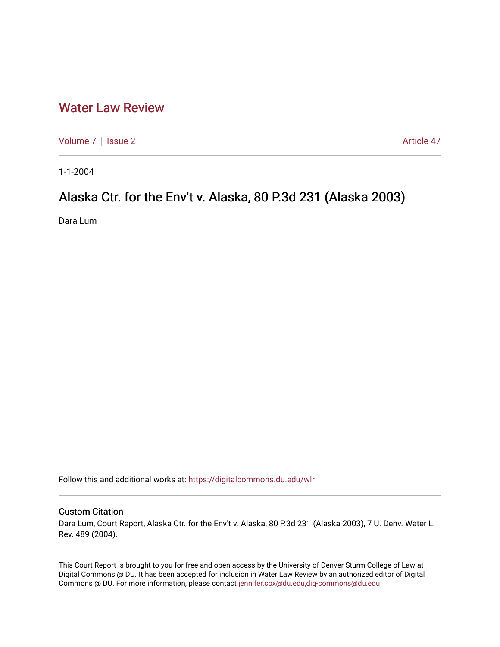## [Water Law Review](https://digitalcommons.du.edu/wlr)

[Volume 7](https://digitalcommons.du.edu/wlr/vol7) | [Issue 2](https://digitalcommons.du.edu/wlr/vol7/iss2) Article 47

1-1-2004

# Alaska Ctr. for the Env't v. Alaska, 80 P.3d 231 (Alaska 2003)

Dara Lum

Follow this and additional works at: [https://digitalcommons.du.edu/wlr](https://digitalcommons.du.edu/wlr?utm_source=digitalcommons.du.edu%2Fwlr%2Fvol7%2Fiss2%2F47&utm_medium=PDF&utm_campaign=PDFCoverPages) 

### Custom Citation

Dara Lum, Court Report, Alaska Ctr. for the Env't v. Alaska, 80 P.3d 231 (Alaska 2003), 7 U. Denv. Water L. Rev. 489 (2004).

This Court Report is brought to you for free and open access by the University of Denver Sturm College of Law at Digital Commons @ DU. It has been accepted for inclusion in Water Law Review by an authorized editor of Digital Commons @ DU. For more information, please contact [jennifer.cox@du.edu,dig-commons@du.edu.](mailto:jennifer.cox@du.edu,dig-commons@du.edu)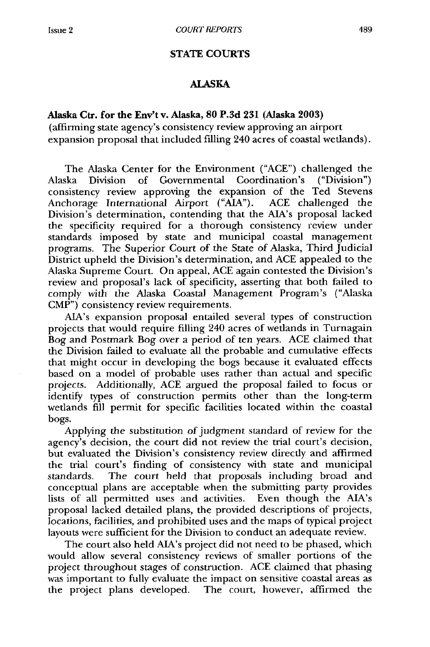#### **STATE COURTS**

#### **ALASKA**

#### **Alaska Ctr. for the Env't v. Alaska, 80 P.3d 231 (Alaska 2003)**

(affirming state agency's consistency review approving an airport expansion proposal that included filling 240 acres of coastal wetlands).

The Alaska Center for the Environment ("ACE") challenged the Alaska Division of Governmental Coordination's ("Division") consistency review approving the expansion of the Ted Stevens Anchorage International Airport ("AIA"). ACE challenged the Division's determination, contending that the AIA's proposal lacked the specificity required for a thorough consistency review under standards imposed by state and municipal coastal management programs. The Superior Court of the State of Alaska, Third Judicial District upheld the Division's determination, and ACE appealed to the Alaska Supreme Court. On appeal, ACE again contested the Division's review and proposal's lack of specificity, asserting that both failed to comply with the Alaska Coastal Management Program's ("Alaska CMP") consistency review requirements.

AIA's expansion proposal entailed several types of construction projects that would require filling 240 acres of wetlands in Turnagain Bog and Postmark Bog over a period of ten years. ACE claimed that the Division failed to evaluate all the probable and cumulative effects that might occur in developing the bogs because it evaluated effects based on a model of probable uses rather than actual and specific projects. Additionally, ACE argued the proposal failed to focus or identify types of construction permits other than the long-term wetlands fill permit for specific facilities located within the coastal bogs.

Applying the substitution of judgment standard of review for the agency's decision, the court did not review the trial court's decision, but evaluated the Division's consistency review directly and affirmed the trial court's finding of consistency with state and municipal standards. The court held that proposals including broad and conceptual plans are acceptable when the submitting party provides lists of all permitted uses and activities. Even though the AIA's proposal lacked detailed plans, the provided descriptions of projects, locations, facilities, and prohibited uses and the maps of typical project layouts were sufficient for the Division to conduct an adequate review.

The court also held AIA's project did not need to be phased, which would allow several consistency reviews of smaller portions of the project throughout stages of construction. ACE claimed that phasing was important to fully evaluate the impact on sensitive coastal areas as the project plans developed. The court, however, affirmed the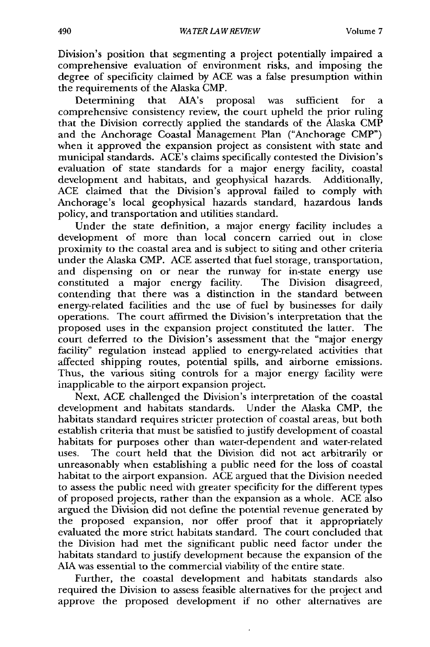Division's position that segmenting a project potentially impaired a comprehensive evaluation of environment risks, and imposing the degree of specificity claimed by ACE was a false presumption within the requirements of the Alaska CMP.

Determining that AIA's proposal was sufficient for a comprehensive consistency review, the court upheld the prior ruling that the Division correctly applied the standards of the Alaska CMP and the Anchorage Coastal Management Plan ("Anchorage CMP") when it approved the expansion project as consistent with state and municipal standards. ACE's claims specifically contested the Division's evaluation of state standards for a major energy facility, coastal development and habitats, and geophysical hazards. Additionally, ACE claimed that the Division's approval failed to comply with Anchorage's local geophysical hazards standard, hazardous lands policy, and transportation and utilities standard.

Under the state definition, a major energy facility includes a development of more than local concern carried out in close proximity to the coastal area and is subject to siting and other criteria under the Alaska CMP. ACE asserted that fuel storage, transportation, and dispensing on or near the runway for in-state energy use constituted a major energy facility. The Division disagreed, contending that there was a distinction in the standard between energy-related facilities and the use of fuel by businesses for daily operations. The court affirmed the Division's interpretation that the proposed uses in the expansion project constituted the latter. The court deferred to the Division's assessment that the "major energy facility" regulation instead applied to energy-related activities that affected shipping routes, potential spills, and airborne emissions. Thus, the various siting controls for a major energy facility were inapplicable to the airport expansion project.

Next, ACE challenged the Division's interpretation of the coastal development and habitats standards. Under the Alaska CMP, the habitats standard requires stricter protection of coastal areas, but both establish criteria that must be satisfied to justify development of coastal habitats for purposes other than water-dependent and water-related uses. The court held that the Division did not act arbitrarily or unreasonably when establishing a public need for the loss of coastal habitat to the airport expansion. ACE argued that the Division needed to assess the public need with greater specificity for the different types of proposed projects, rather than the expansion as a whole. ACE also argued the Division did not define the potential revenue generated by the proposed expansion, nor offer proof that it appropriately evaluated the more strict habitats standard. The court concluded that the Division had met the significant public need factor under the habitats standard to justify development because the expansion of the **AIA** was essential to the commercial viability of the entire state.

Further, the coastal development and habitats standards also required the Division to assess feasible alternatives for the project and approve the proposed development if no other alternatives are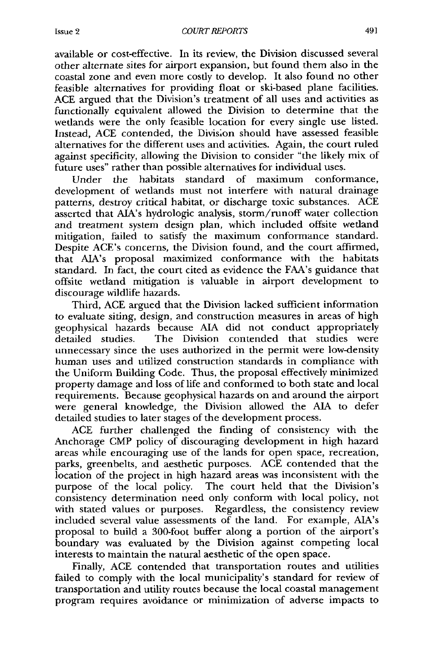available or cost-effective. In its review, the Division discussed several other alternate sites for airport expansion, but found them also in the coastal zone and even more costly to develop. It also found no other feasible alternatives for providing float or ski-based plane facilities. ACE argued that the Division's treatment of all uses and activities as functionally equivalent allowed the Division to determine that the wetlands were the only feasible location for every single use listed. Instead, ACE contended, the Division should have assessed feasible alternatives for the different uses and activities. Again, the court ruled against specificity, allowing the Division to consider "the likely mix of future uses" rather than possible alternatives for individual uses.

Under the habitats standard of maximum conformance, development of wetlands must not interfere with natural drainage patterns, destroy critical habitat, or discharge toxic substances. ACE asserted that AIA's hydrologic analysis, storm/runoff water collection and treatment system design plan, which included offsite wetland mitigation, failed to satisfy the maximum conformance standard. Despite ACE's concerns, the Division found, and the court affirmed, that AIA's proposal maximized conformance with the habitats standard. In fact, the court cited as evidence the FAA's guidance that offsite wetland mitigation is valuable in airport development to discourage wildlife hazards.

Third, ACE argued that the Division lacked sufficient information to evaluate siting, design, and construction measures in areas of high geophysical hazards because **AIA** did not conduct appropriately detailed studies. The Division contended that studies were unnecessary since the uses authorized in the permit were low-density human uses and utilized construction standards in compliance with the Uniform Building Code. Thus, the proposal effectively minimized property damage and loss of life and conformed to both state and local requirements. Because geophysical hazards on and around the airport were general knowledge, the Division allowed the **AIA** to defer detailed studies to later stages of the development process.

ACE further challenged the finding of consistency with the Anchorage CMP policy of discouraging development in high hazard areas while encouraging use of the lands for open space, recreation, parks, greenbelts, and aesthetic purposes. ACE contended that the location of the project in high hazard areas was inconsistent with the purpose of the local policy. The court held that the Division's consistency determination need only conform with local policy, not with stated values or purposes. Regardless, the consistency review included several value assessments of the land. For example, AIA's proposal to build a 300-foot buffer along a portion of the airport's boundary was evaluated by the Division against competing local interests to maintain the natural aesthetic of the open space.

Finally, ACE contended that transportation routes and utilities failed to comply with the local municipality's standard for review of transportation and utility routes because the local coastal management program requires avoidance or minimization of adverse impacts to